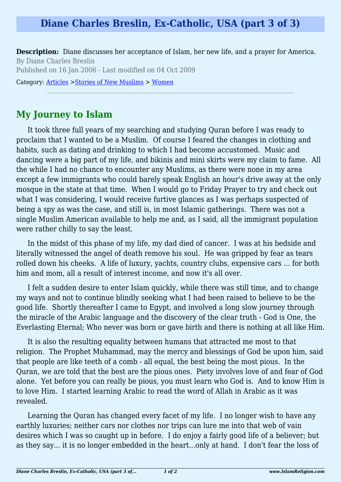## **Diane Charles Breslin, Ex-Catholic, USA (part 3 of 3)**

**Description:** Diane discusses her acceptance of Islam, her new life, and a prayer for America. By Diane Charles Breslin Published on 16 Jan 2006 - Last modified on 04 Oct 2009

Category: [Articles](http://www.islamreligion.com/articles/) >[Stories of New Muslims](http://www.islamreligion.com/category/63/) > [Women](http://www.islamreligion.com/category/65/)

## **My Journey to Islam**

It took three full years of my searching and studying Quran before I was ready to proclaim that I wanted to be a Muslim. Of course I feared the changes in clothing and habits, such as dating and drinking to which I had become accustomed. Music and dancing were a big part of my life, and bikinis and mini skirts were my claim to fame. All the while I had no chance to encounter any Muslims, as there were none in my area except a few immigrants who could barely speak English an hour's drive away at the only mosque in the state at that time. When I would go to Friday Prayer to try and check out what I was considering, I would receive furtive glances as I was perhaps suspected of being a spy as was the case, and still is, in most Islamic gatherings. There was not a single Muslim American available to help me and, as I said, all the immigrant population were rather chilly to say the least.

In the midst of this phase of my life, my dad died of cancer. I was at his bedside and literally witnessed the angel of death remove his soul. He was gripped by fear as tears rolled down his cheeks. A life of luxury, yachts, country clubs, expensive cars ... for both him and mom, all a result of interest income, and now it's all over.

I felt a sudden desire to enter Islam quickly, while there was still time, and to change my ways and not to continue blindly seeking what I had been raised to believe to be the good life. Shortly thereafter I came to Egypt, and involved a long slow journey through the miracle of the Arabic language and the discovery of the clear truth - God is One, the Everlasting Eternal; Who never was born or gave birth and there is nothing at all like Him.

It is also the resulting equality between humans that attracted me most to that religion. The Prophet Muhammad, may the mercy and blessings of God be upon him, said that people are like teeth of a comb - all equal, the best being the most pious. In the Quran, we are told that the best are the pious ones. Piety involves love of and fear of God alone. Yet before you can really be pious, you must learn who God is. And to know Him is to love Him. I started learning Arabic to read the word of Allah in Arabic as it was revealed.

Learning the Quran has changed every facet of my life. I no longer wish to have any earthly luxuries; neither cars nor clothes nor trips can lure me into that web of vain desires which I was so caught up in before. I do enjoy a fairly good life of a believer; but as they say... it is no longer embedded in the heart...only at hand. I don't fear the loss of